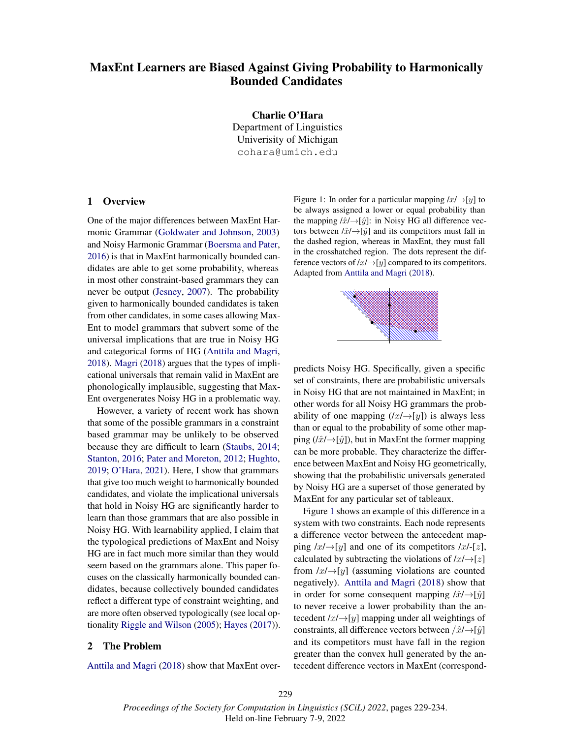# MaxEnt Learners are Biased Against Giving Probability to Harmonically Bounded Candidates

Charlie O'Hara Department of Linguistics Univerisity of Michigan cohara@umich.edu

### 1 Overview

One of the major differences between MaxEnt Harmonic Grammar (Goldwater and Johnson, 2003) and Noisy Harmonic Grammar (Boersma and Pater, 2016) is that in MaxEnt harmonically bounded candidates are able to get some probability, whereas in most other constraint-based grammars they can never be output (Jesney, 2007). The probability given to harmonically bounded candidates is taken from other candidates, in some cases allowing Max-Ent to model grammars that subvert some of the universal implications that are true in Noisy HG and categorical forms of HG (Anttila and Magri, 2018). Magri (2018) argues that the types of implicational universals that remain valid in MaxEnt are phonologically implausible, suggesting that Max-Ent overgenerates Noisy HG in a problematic way.

However, a variety of recent work has shown that some of the possible grammars in a constraint based grammar may be unlikely to be observed because they are difficult to learn (Staubs, 2014; Stanton, 2016; Pater and Moreton, 2012; Hughto, 2019; O'Hara, 2021). Here, I show that grammars that give too much weight to harmonically bounded candidates, and violate the implicational universals that hold in Noisy HG are significantly harder to learn than those grammars that are also possible in Noisy HG. With learnability applied, I claim that the typological predictions of MaxEnt and Noisy HG are in fact much more similar than they would seem based on the grammars alone. This paper focuses on the classically harmonically bounded candidates, because collectively bounded candidates reflect a different type of constraint weighting, and are more often observed typologically (see local optionality Riggle and Wilson (2005); Hayes (2017)).

#### 2 The Problem

Anttila and Magri (2018) show that MaxEnt over-

Figure 1: In order for a particular mapping  $/x \rightarrow [y]$  to be always assigned a lower or equal probability than the mapping  $\hat{x}$  ÷ [ $\hat{y}$ ]: in Noisy HG all difference vectors between  $\hat{x}$  ÷ [ $\hat{y}$ ] and its competitors must fall in the dashed region, whereas in MaxEnt, they must fall in the crosshatched region. The dots represent the difference vectors of  $|x| \rightarrow |y|$  compared to its competitors. Adapted from Anttila and Magri (2018).



predicts Noisy HG. Specifically, given a specific set of constraints, there are probabilistic universals in Noisy HG that are not maintained in MaxEnt; in other words for all Noisy HG grammars the probability of one mapping  $(|x/\rightarrow [y])$  is always less than or equal to the probability of some other mapping ( $/x^2$ ), but in MaxEnt the former mapping can be more probable. They characterize the difference between MaxEnt and Noisy HG geometrically, showing that the probabilistic universals generated by Noisy HG are a superset of those generated by MaxEnt for any particular set of tableaux.

Figure 1 shows an example of this difference in a system with two constraints. Each node represents a difference vector between the antecedent mapping  $/x \rightarrow [y]$  and one of its competitors  $/x \rightarrow [z]$ , calculated by subtracting the violations of  $/x \rightarrow [z]$ from  $\ell x \rightarrow \lbrack y \rbrack$  (assuming violations are counted negatively). Anttila and Magri (2018) show that in order for some consequent mapping  $\hat{x}$  / $\hat{y}$ ] to never receive a lower probability than the antecedent  $/x \rightarrow [y]$  mapping under all weightings of constraints, all difference vectors between  $/\hat{x}$  → [ $\hat{y}$ ] and its competitors must have fall in the region greater than the convex hull generated by the antecedent difference vectors in MaxEnt (correspond-

*Proceedings of the Society for Computation in Linguistics (SCiL) 2022*, pages 229-234. Held on-line February 7-9, 2022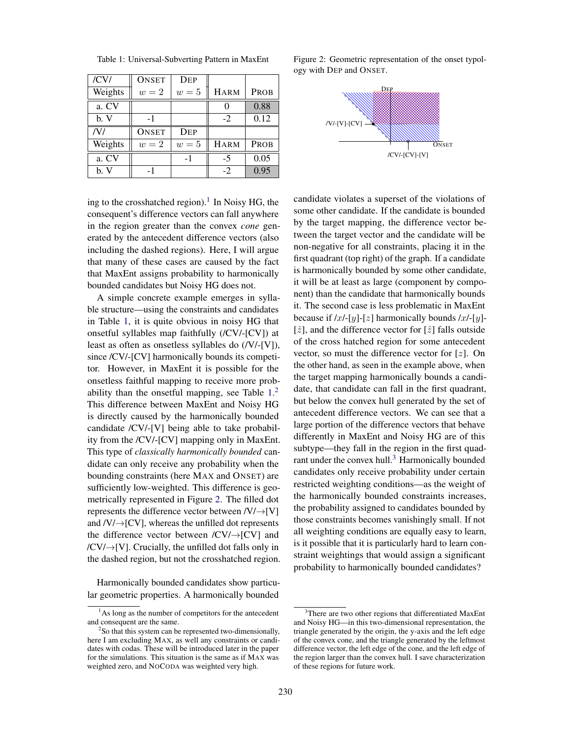| /CVI    | <b>ONSET</b> | DEP   |             |      |
|---------|--------------|-------|-------------|------|
| Weights | $w=2$        | $w=5$ | <b>HARM</b> | PROB |
| a. CV   |              |       |             | 0.88 |
| b. V    | $-1$         |       | $-2$        | 0.12 |
| /V/     | <b>ONSET</b> | DEP   |             |      |
| Weights | $w=2$        | $w=5$ | <b>HARM</b> | PROB |
| a. CV   |              | $-1$  | -5          | 0.05 |
| b. V    | -1           |       | $-2$        | 0.95 |

Table 1: Universal-Subverting Pattern in MaxEnt

ing to the crosshatched region).<sup>1</sup> In Noisy HG, the consequent's difference vectors can fall anywhere in the region greater than the convex *cone* generated by the antecedent difference vectors (also including the dashed regions). Here, I will argue that many of these cases are caused by the fact that MaxEnt assigns probability to harmonically bounded candidates but Noisy HG does not.

A simple concrete example emerges in syllable structure—using the constraints and candidates in Table 1, it is quite obvious in noisy HG that onsetful syllables map faithfully (/CV/-[CV]) at least as often as onsetless syllables do (/V/-[V]), since /CV/-[CV] harmonically bounds its competitor. However, in MaxEnt it is possible for the onsetless faithful mapping to receive more probability than the onsetful mapping, see Table  $1<sup>2</sup>$ This difference between MaxEnt and Noisy HG is directly caused by the harmonically bounded candidate /CV/-[V] being able to take probability from the /CV/-[CV] mapping only in MaxEnt. This type of *classically harmonically bounded* candidate can only receive any probability when the bounding constraints (here MAX and ONSET) are sufficiently low-weighted. This difference is geometrically represented in Figure 2. The filled dot represents the difference vector between /V/→[V] and  $/V/ \rightarrow [CV]$ , whereas the unfilled dot represents the difference vector between  $/CV$  $\rightarrow$ [CV] and  $/CV/ \rightarrow [V]$ . Crucially, the unfilled dot falls only in the dashed region, but not the crosshatched region.

Harmonically bounded candidates show particular geometric properties. A harmonically bounded

Figure 2: Geometric representation of the onset typology with DEP and ONSET.



candidate violates a superset of the violations of some other candidate. If the candidate is bounded by the target mapping, the difference vector between the target vector and the candidate will be non-negative for all constraints, placing it in the first quadrant (top right) of the graph. If a candidate is harmonically bounded by some other candidate, it will be at least as large (component by component) than the candidate that harmonically bounds it. The second case is less problematic in MaxEnt because if  $\lceil x \rceil - \lceil y \rceil - \lceil z \rceil$  harmonically bounds  $\lceil x \rceil - \lceil y \rceil - \lceil y \rceil$  $[\hat{z}]$ , and the difference vector for  $[\hat{z}]$  falls outside of the cross hatched region for some antecedent vector, so must the difference vector for  $[z]$ . On the other hand, as seen in the example above, when the target mapping harmonically bounds a candidate, that candidate can fall in the first quadrant, but below the convex hull generated by the set of antecedent difference vectors. We can see that a large portion of the difference vectors that behave differently in MaxEnt and Noisy HG are of this subtype—they fall in the region in the first quadrant under the convex hull.<sup>3</sup> Harmonically bounded candidates only receive probability under certain restricted weighting conditions—as the weight of the harmonically bounded constraints increases, the probability assigned to candidates bounded by those constraints becomes vanishingly small. If not all weighting conditions are equally easy to learn, is it possible that it is particularly hard to learn constraint weightings that would assign a significant probability to harmonically bounded candidates?

<sup>&</sup>lt;sup>1</sup>As long as the number of competitors for the antecedent and consequent are the same.

<sup>&</sup>lt;sup>2</sup>So that this system can be represented two-dimensionally, here I am excluding MAX, as well any constraints or candidates with codas. These will be introduced later in the paper for the simulations. This situation is the same as if MAX was weighted zero, and NOCODA was weighted very high.

<sup>3</sup>There are two other regions that differentiated MaxEnt and Noisy HG—in this two-dimensional representation, the triangle generated by the origin, the y-axis and the left edge of the convex cone, and the triangle generated by the leftmost difference vector, the left edge of the cone, and the left edge of the region larger than the convex hull. I save characterization of these regions for future work.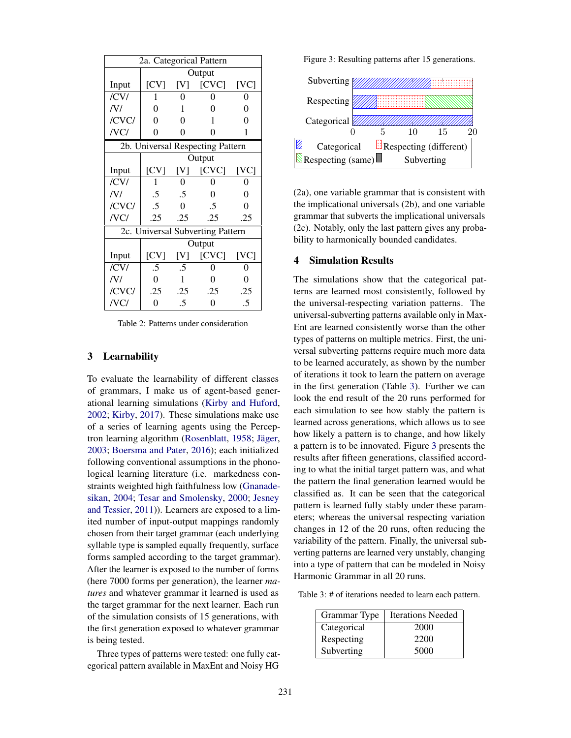| 2a. Categorical Pattern          |                |          |       |      |
|----------------------------------|----------------|----------|-------|------|
|                                  | Output         |          |       |      |
| Input                            | [CV]           | [V]      | [CVC] | [VC] |
| /CV/                             | 1              | 0        | 0     | 0    |
| /V/                              | 0              | 1        | 0     | 0    |
| /CVC/                            | 0              | 0        | 1     | 0    |
| /VC/                             | 0              | 0        | 0     | 1    |
| 2b. Universal Respecting Pattern |                |          |       |      |
|                                  | Output         |          |       |      |
| Input                            | [CV]           | [V]      | [CVC] | [VC] |
| /CVI                             | 1              | 0        | 0     | 0    |
| /V/                              | .5             | $.5\,$   | 0     | 0    |
| /CVC/                            | $.5\,$         | $\theta$ | .5    | 0    |
| /VC/                             | .25            | .25      | .25   | .25  |
| 2c. Universal Subverting Pattern |                |          |       |      |
|                                  | Output         |          |       |      |
| Input                            | [CV]           | [V]      | [CVC] | [VC] |
| /CV/                             | $.5\,$         | .5       | 0     | 0    |
| /V/                              | 0              | 1        | 0     | 0    |
| /CVC/                            | .25            | .25      | .25   | .25  |
| /VC/                             | $\overline{0}$ | .5       | 0     | .5   |

Table 2: Patterns under consideration

#### 3 Learnability

To evaluate the learnability of different classes of grammars, I make us of agent-based generational learning simulations (Kirby and Huford, 2002; Kirby, 2017). These simulations make use of a series of learning agents using the Perceptron learning algorithm (Rosenblatt, 1958; Jäger, 2003; Boersma and Pater, 2016); each initialized following conventional assumptions in the phonological learning literature (i.e. markedness constraints weighted high faithfulness low (Gnanadesikan, 2004; Tesar and Smolensky, 2000; Jesney and Tessier, 2011)). Learners are exposed to a limited number of input-output mappings randomly chosen from their target grammar (each underlying syllable type is sampled equally frequently, surface forms sampled according to the target grammar). After the learner is exposed to the number of forms (here 7000 forms per generation), the learner *matures* and whatever grammar it learned is used as the target grammar for the next learner. Each run of the simulation consists of 15 generations, with the first generation exposed to whatever grammar is being tested.

Three types of patterns were tested: one fully categorical pattern available in MaxEnt and Noisy HG

Figure 3: Resulting patterns after 15 generations.



(2a), one variable grammar that is consistent with the implicational universals (2b), and one variable grammar that subverts the implicational universals (2c). Notably, only the last pattern gives any probability to harmonically bounded candidates.

### 4 Simulation Results

The simulations show that the categorical patterns are learned most consistently, followed by the universal-respecting variation patterns. The universal-subverting patterns available only in Max-Ent are learned consistently worse than the other types of patterns on multiple metrics. First, the universal subverting patterns require much more data to be learned accurately, as shown by the number of iterations it took to learn the pattern on average in the first generation (Table 3). Further we can look the end result of the 20 runs performed for each simulation to see how stably the pattern is learned across generations, which allows us to see how likely a pattern is to change, and how likely a pattern is to be innovated. Figure 3 presents the results after fifteen generations, classified according to what the initial target pattern was, and what the pattern the final generation learned would be classified as. It can be seen that the categorical pattern is learned fully stably under these parameters; whereas the universal respecting variation changes in 12 of the 20 runs, often reducing the variability of the pattern. Finally, the universal subverting patterns are learned very unstably, changing into a type of pattern that can be modeled in Noisy Harmonic Grammar in all 20 runs.

Table 3: # of iterations needed to learn each pattern.

| Grammar Type | <b>Iterations Needed</b> |
|--------------|--------------------------|
| Categorical  | 2000                     |
| Respecting   | 2200                     |
| Subverting   | 5000                     |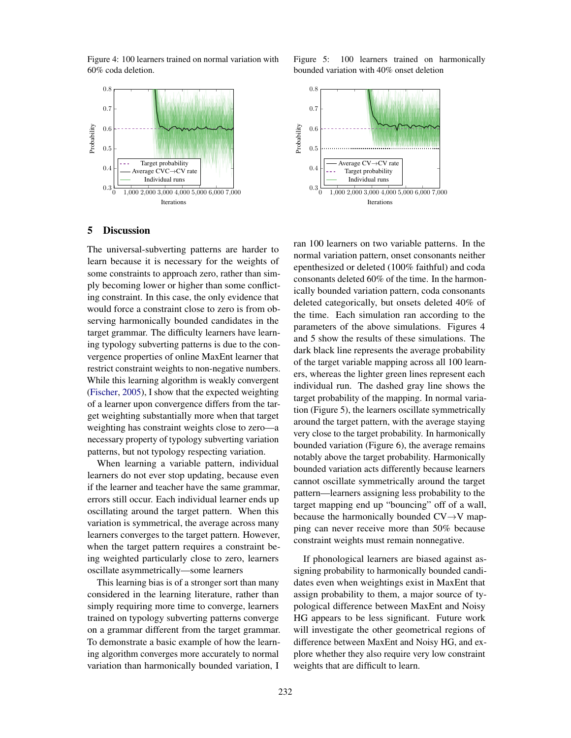Figure 4: 100 learners trained on normal variation with 60% coda deletion.



Figure 5: 100 learners trained on harmonically bounded variation with 40% onset deletion



## 5 Discussion

The universal-subverting patterns are harder to learn because it is necessary for the weights of some constraints to approach zero, rather than simply becoming lower or higher than some conflicting constraint. In this case, the only evidence that would force a constraint close to zero is from observing harmonically bounded candidates in the target grammar. The difficulty learners have learning typology subverting patterns is due to the convergence properties of online MaxEnt learner that restrict constraint weights to non-negative numbers. While this learning algorithm is weakly convergent (Fischer, 2005), I show that the expected weighting of a learner upon convergence differs from the target weighting substantially more when that target weighting has constraint weights close to zero—a necessary property of typology subverting variation patterns, but not typology respecting variation.

When learning a variable pattern, individual learners do not ever stop updating, because even if the learner and teacher have the same grammar, errors still occur. Each individual learner ends up oscillating around the target pattern. When this variation is symmetrical, the average across many learners converges to the target pattern. However, when the target pattern requires a constraint being weighted particularly close to zero, learners oscillate asymmetrically—some learners

This learning bias is of a stronger sort than many considered in the learning literature, rather than simply requiring more time to converge, learners trained on typology subverting patterns converge on a grammar different from the target grammar. To demonstrate a basic example of how the learning algorithm converges more accurately to normal variation than harmonically bounded variation, I

ran 100 learners on two variable patterns. In the normal variation pattern, onset consonants neither epenthesized or deleted (100% faithful) and coda consonants deleted 60% of the time. In the harmonically bounded variation pattern, coda consonants deleted categorically, but onsets deleted 40% of the time. Each simulation ran according to the parameters of the above simulations. Figures 4 and 5 show the results of these simulations. The dark black line represents the average probability of the target variable mapping across all 100 learners, whereas the lighter green lines represent each individual run. The dashed gray line shows the target probability of the mapping. In normal variation (Figure 5), the learners oscillate symmetrically around the target pattern, with the average staying very close to the target probability. In harmonically bounded variation (Figure 6), the average remains notably above the target probability. Harmonically bounded variation acts differently because learners cannot oscillate symmetrically around the target pattern—learners assigning less probability to the target mapping end up "bouncing" off of a wall, because the harmonically bounded CV→V mapping can never receive more than 50% because constraint weights must remain nonnegative.

If phonological learners are biased against assigning probability to harmonically bounded candidates even when weightings exist in MaxEnt that assign probability to them, a major source of typological difference between MaxEnt and Noisy HG appears to be less significant. Future work will investigate the other geometrical regions of difference between MaxEnt and Noisy HG, and explore whether they also require very low constraint weights that are difficult to learn.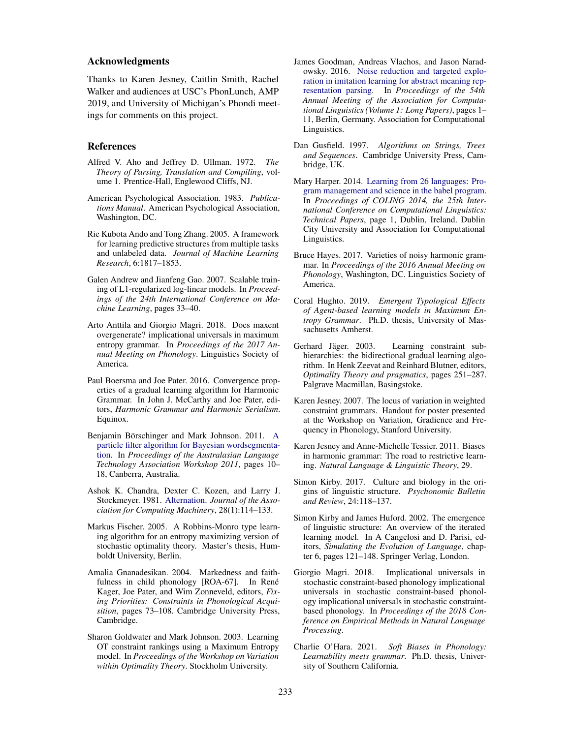## Acknowledgments

Thanks to Karen Jesney, Caitlin Smith, Rachel Walker and audiences at USC's PhonLunch, AMP 2019, and University of Michigan's Phondi meetings for comments on this project.

#### References

- Alfred V. Aho and Jeffrey D. Ullman. 1972. *The Theory of Parsing, Translation and Compiling*, volume 1. Prentice-Hall, Englewood Cliffs, NJ.
- American Psychological Association. 1983. *Publications Manual*. American Psychological Association, Washington, DC.
- Rie Kubota Ando and Tong Zhang. 2005. A framework for learning predictive structures from multiple tasks and unlabeled data. *Journal of Machine Learning Research*, 6:1817–1853.
- Galen Andrew and Jianfeng Gao. 2007. Scalable training of L1-regularized log-linear models. In *Proceedings of the 24th International Conference on Machine Learning*, pages 33–40.
- Arto Anttila and Giorgio Magri. 2018. Does maxent overgenerate? implicational universals in maximum entropy grammar. In *Proceedings of the 2017 Annual Meeting on Phonology*. Linguistics Society of America.
- Paul Boersma and Joe Pater. 2016. Convergence properties of a gradual learning algorithm for Harmonic Grammar. In John J. McCarthy and Joe Pater, editors, *Harmonic Grammar and Harmonic Serialism*. Equinox.
- Benjamin Börschinger and Mark Johnson. 2011. A particle filter algorithm for Bayesian wordsegmentation. In *Proceedings of the Australasian Language Technology Association Workshop 2011*, pages 10– 18, Canberra, Australia.
- Ashok K. Chandra, Dexter C. Kozen, and Larry J. Stockmeyer. 1981. Alternation. *Journal of the Association for Computing Machinery*, 28(1):114–133.
- Markus Fischer. 2005. A Robbins-Monro type learning algorithm for an entropy maximizing version of stochastic optimality theory. Master's thesis, Humboldt University, Berlin.
- Amalia Gnanadesikan. 2004. Markedness and faithfulness in child phonology [ROA-67]. In René Kager, Joe Pater, and Wim Zonneveld, editors, *Fixing Priorities: Constraints in Phonological Acquisition*, pages 73–108. Cambridge University Press, Cambridge.
- Sharon Goldwater and Mark Johnson. 2003. Learning OT constraint rankings using a Maximum Entropy model. In *Proceedings of the Workshop on Variation within Optimality Theory*. Stockholm University.
- James Goodman, Andreas Vlachos, and Jason Naradowsky. 2016. Noise reduction and targeted exploration in imitation learning for abstract meaning representation parsing. In *Proceedings of the 54th Annual Meeting of the Association for Computational Linguistics (Volume 1: Long Papers)*, pages 1– 11, Berlin, Germany. Association for Computational Linguistics.
- Dan Gusfield. 1997. *Algorithms on Strings, Trees and Sequences*. Cambridge University Press, Cambridge, UK.
- Mary Harper. 2014. Learning from 26 languages: Program management and science in the babel program. In *Proceedings of COLING 2014, the 25th International Conference on Computational Linguistics: Technical Papers*, page 1, Dublin, Ireland. Dublin City University and Association for Computational Linguistics.
- Bruce Hayes. 2017. Varieties of noisy harmonic grammar. In *Proceedings of the 2016 Annual Meeting on Phonology*, Washington, DC. Linguistics Society of America.
- Coral Hughto. 2019. *Emergent Typological Effects of Agent-based learning models in Maximum Entropy Grammar*. Ph.D. thesis, University of Massachusetts Amherst.
- Gerhard Jäger. 2003. Learning constraint subhierarchies: the bidirectional gradual learning algorithm. In Henk Zeevat and Reinhard Blutner, editors, *Optimality Theory and pragmatics*, pages 251–287. Palgrave Macmillan, Basingstoke.
- Karen Jesney. 2007. The locus of variation in weighted constraint grammars. Handout for poster presented at the Workshop on Variation, Gradience and Frequency in Phonology, Stanford University.
- Karen Jesney and Anne-Michelle Tessier. 2011. Biases in harmonic grammar: The road to restrictive learning. *Natural Language & Linguistic Theory*, 29.
- Simon Kirby. 2017. Culture and biology in the origins of linguistic structure. *Psychonomic Bulletin and Review*, 24:118–137.
- Simon Kirby and James Huford. 2002. The emergence of linguistic structure: An overview of the iterated learning model. In A Cangelosi and D. Parisi, editors, *Simulating the Evolution of Language*, chapter 6, pages 121–148. Springer Verlag, London.
- Giorgio Magri. 2018. Implicational universals in stochastic constraint-based phonology implicational universals in stochastic constraint-based phonology implicational universals in stochastic constraintbased phonology. In *Proceedings of the 2018 Conference on Empirical Methods in Natural Language Processing*.
- Charlie O'Hara. 2021. *Soft Biases in Phonology: Learnability meets grammar*. Ph.D. thesis, University of Southern California.